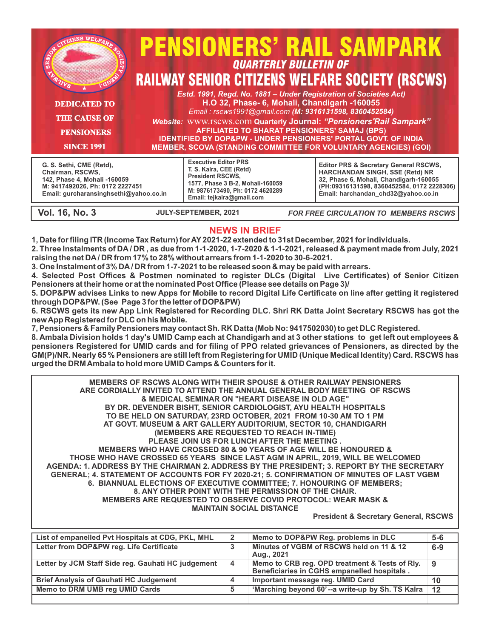| <b>DEDICATED TO</b><br><b>THE CAUSE OF</b><br><b>PENSIONERS</b><br><b>SINCE 1991</b>                                                                      | <b>PENSIONERS' RAIL SAMPARK</b><br><b>QUARTERLY BULLETIN OF</b><br><b>RAILWAY SENIOR CITIZENS WELFARE SOCIETY (RSCWS)</b><br>Estd. 1991, Regd. No. 1881 - Under Registration of Societies Act)<br>H.O 32, Phase- 6, Mohali, Chandigarh -160055<br>Email: rscws1991@gmail.com (M: 9316131598, 8360452584)<br><b>Website: WWW.TSCWS.COM Quarterly Journal: "Pensioners'Rail Sampark"</b><br><b>AFFILIATED TO BHARAT PENSIONERS' SAMAJ (BPS)</b><br><b>IDENTIFIED BY DOP&amp;PW - UNDER PENSIONERS' PORTAL GOVT. OF INDIA</b><br><b>MEMBER, SCOVA (STANDING COMMITTEE FOR VOLUNTARY AGENCIES) (GOI)</b> |                                                                                                                                                                                                                    |
|-----------------------------------------------------------------------------------------------------------------------------------------------------------|------------------------------------------------------------------------------------------------------------------------------------------------------------------------------------------------------------------------------------------------------------------------------------------------------------------------------------------------------------------------------------------------------------------------------------------------------------------------------------------------------------------------------------------------------------------------------------------------------|--------------------------------------------------------------------------------------------------------------------------------------------------------------------------------------------------------------------|
| G. S. Sethi, CME (Retd),<br>Chairman, RSCWS,<br>142, Phase 4, Mohali -160059<br>M: 9417492026, Ph: 0172 2227451<br>Email: gurcharansinghsethi@yahoo.co.in | <b>Executive Editor PRS</b><br>T. S. Kalra, CEE (Retd)<br><b>President RSCWS,</b><br>1577, Phase 3 B-2, Mohali-160059<br>M: 9876173490, Ph: 0172 4620289<br>Email: tejkalra@gmail.com                                                                                                                                                                                                                                                                                                                                                                                                                | <b>Editor PRS &amp; Secretary General RSCWS,</b><br>HARCHANDAN SINGH, SSE (Retd) NR<br>32, Phase 6, Mohali, Chandigarh-160055<br>(PH:09316131598, 8360452584, 0172 2228306)<br>Email: harchandan chd32@yahoo.co.in |

**Vol. 16, No. 3 JULY-SEPTEMBER, 2021** *FOR FREE CIRCULATION TO MEMBERS RSCWS*

#### **NEWS IN BRIEF**

**1, Date for filing ITR (Income Tax Return) for AY 2021-22 extended to 31st December, 2021 for individuals.**

**2. Three Instalments of DA / DR , as due from 1-1-2020, 1-7-2020 & 1-1-2021, released & payment made from July, 2021 raising the net DA / DR from 17% to 28% without arrears from 1-1-2020 to 30-6-2021.**

**3. One Instalment of 3% DA / DR from 1-7-2021 to be released soon & may be paid with arrears.**

**4. Selected Post Offices & Postmen nominated to register DLCs (Digital Live Certificates) of Senior Citizen Pensioners at their home or at the nominated Post Office (Please see details on Page 3)/**

**5. DOP&PW advises Links to new Apps for Mobile to record Digital Life Certificate on line after getting it registered through DOP&PW. (See Page 3 for the letter of DOP&PW)**

**6. RSCWS gets its new App Link Registered for Recording DLC. Shri RK Datta Joint Secretary RSCWS has got the new App Registered for DLC on his Mobile.** 

**7, Pensioners & Family Pensioners may contact Sh. RK Datta (Mob No: 9417502030) to get DLC Registered.**

**8. Ambala Division holds 1 day's UMID Camp each at Chandigarh and at 3 other stations to get left out employees & pensioners Registered for UMID cards and for filing of PPO related grievances of Pensioners, as directed by the GM(P)/NR. Nearly 65 % Pensioners are still left from Registering for UMID (Unique Medical Identity) Card. RSCWS has urged the DRM Ambala to hold more UMID Camps & Counters for it.**

**MEMBERS OF RSCWS ALONG WITH THEIR SPOUSE & OTHER RAILWAY PENSIONERS ARE CORDIALLY INVITED TO ATTEND THE ANNUAL GENERAL BODY MEETING OF RSCWS & MEDICAL SEMINAR ON "HEART DISEASE IN OLD AGE" BY DR. DEVENDER BISHT, SENIOR CARDIOLOGIST, AYU HEALTH HOSPITALS TO BE HELD ON SATURDAY, 23RD OCTOBER, 2021 FROM 10-30 AM TO 1 PM AT GOVT. MUSEUM & ART GALLERY AUDITORIUM, SECTOR 10, CHANDIGARH (MEMBERS ARE REQUESTED TO REACH IN-TIME) PLEASE JOIN US FOR LUNCH AFTER THE MEETING . MEMBERS WHO HAVE CROSSED 80 & 90 YEARS OF AGE WILL BE HONOURED & THOSE WHO HAVE CROSSED 65 YEARS SINCE LAST AGM IN APRIL, 2019, WILL BE WELCOMED AGENDA: 1. ADDRESS BY THE CHAIRMAN 2. ADDRESS BY THE PRESIDENT; 3. REPORT BY THE SECRETARY GENERAL; 4. STATEMENT OF ACCOUNTS FOR FY 2020-21; 5. CONFIRMATION OF MINUTES OF LAST VGBM 6. BIANNUAL ELECTIONS OF EXECUTIVE COMMITTEE; 7. HONOURING OF MEMBERS; 8. ANY OTHER POINT WITH THE PERMISSION OF THE CHAIR. MEMBERS ARE REQUESTED TO OBSERVE COVID PROTOCOL: WEAR MASK & MAINTAIN SOCIAL DISTANCE**

 **President & Secretary General, RSCWS**

| List of empanelled Pvt Hospitals at CDG, PKL, MHL  |   | Memo to DOP&PW Reg. problems in DLC                                                           | $5 - 6$ |
|----------------------------------------------------|---|-----------------------------------------------------------------------------------------------|---------|
| Letter from DOP&PW reg. Life Certificate           | 3 | Minutes of VGBM of RSCWS held on 11 & 12<br>Aug., 2021                                        | $6 - 9$ |
| Letter by JCM Staff Side reg. Gauhati HC judgement | 4 | Memo to CRB reg. OPD treatment & Tests of Rly.<br>Beneficiaries in CGHS empanelled hospitals. | -9      |
| <b>Brief Analysis of Gauhati HC Judgement</b>      |   | Important message reg. UMID Card                                                              | 10      |
| Memo to DRM UMB reg UMID Cards                     |   | 'Marching beyond 60'--a write-up by Sh. TS Kalra                                              | 12      |
|                                                    |   |                                                                                               |         |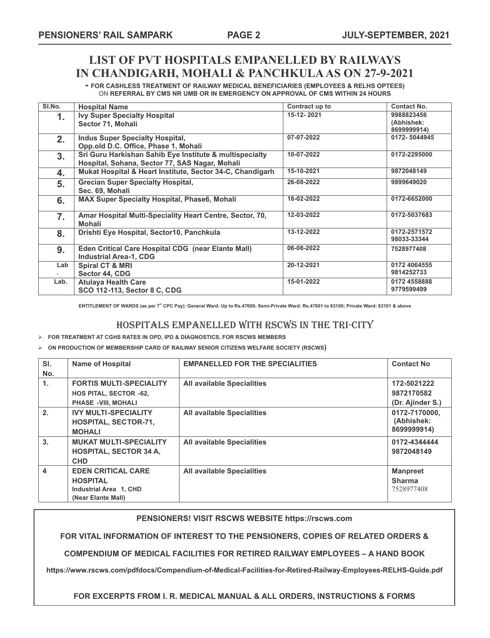## **LIST OF PVT HOSPITALS EMPANELLED BY RAILWAYS IN CHANDIGARH, MOHALI & PANCHKULA AS ON 27-9-2021**

**- FOR CASHLESS TREATMENT OF RAILWAY MEDICAL BENEFICIARIES (EMPLOYEES & RELHS OPTEES)** ON **REFERRAL BY CMS NR UMB OR IN EMERGENCY ON APPROVAL OF CMS WITHIN 24 HOURS**

| SI.No.           | <b>Hospital Name</b>                                                                                      | Contract up to | <b>Contact No.</b>                      |
|------------------|-----------------------------------------------------------------------------------------------------------|----------------|-----------------------------------------|
| 1.               | <b>Ivy Super Specialty Hospital</b><br>Sector 71, Mohali                                                  | 15-12-2021     | 9988823456<br>(Abhishek:<br>8699999914) |
| 2.               | <b>Indus Super Specialty Hospital,</b><br>Opp.old D.C. Office, Phase 1, Mohali                            | 07-07-2022     | 0172-5044945                            |
| 3 <sub>1</sub>   | Sri Guru Harkishan Sahib Eye Institute & multispecialty<br>Hospital, Sohana, Sector 77, SAS Nagar, Mohali | 10-07-2022     | 0172-2295000                            |
| 4.               | Mukat Hospital & Heart Institute, Sector 34-C, Chandigarh                                                 | 15-10-2021     | 9872048149                              |
| 5.               | <b>Grecian Super Specialty Hospital,</b><br>Sec. 69. Mohali                                               | 26-08-2022     | 9899649020                              |
| 6.               | <b>MAX Super Specialty Hospital, Phase6, Mohali</b>                                                       | 18-02-2022     | 0172-6652000                            |
| $\overline{7}$ . | Amar Hospital Multi-Speciality Heart Centre, Sector, 70,<br><b>Mohali</b>                                 | 12-03-2022     | 0172-5037683                            |
| 8.               | Drishti Eye Hospital, Sector10, Panchkula                                                                 | 13-12-2022     | 0172-2571572<br>98033-33344             |
| 9.               | <b>Eden Critical Care Hospital CDG (near Elante Mall)</b><br><b>Industrial Area-1, CDG</b>                | 06-08-2022     | 7528977408                              |
| Lab<br>۰.        | <b>Spiral CT &amp; MRI</b><br>Sector 44, CDG                                                              | 20-12-2021     | 0172 4064555<br>9814252733              |
| Lab.             | <b>Atulaya Health Care</b><br>SCO 112-113, Sector 8 C, CDG                                                | 15-01-2022     | 0172 4558888<br>9779599499              |

ENTITLEMENT OF WARDS (as per 7<sup>th</sup> CPC Pay): General Ward: Up to Rs.47600; Semi-Private Ward: Rs.47601 to 63100; Private Ward: 63101 & above

### HOSPITALS EMPANELLED WITH RSCWS IN THE TRI-CITY

Ø **FOR TREATMENT AT CGHS RATES IN OPD, IPD & DIAGNOSTICS, FOR RSCWS MEMBERS** 

#### Ø **ON PRODUCTION OF MEMBERSHIP CARD OF RAILWAY SENIOR CITIZENS WELFARE SOCIETY (RSCWS)**

| SI.            | <b>Name of Hospital</b>        | <b>EMPANELLED FOR THE SPECIALITIES</b> | <b>Contact No</b> |
|----------------|--------------------------------|----------------------------------------|-------------------|
| No.            |                                |                                        |                   |
| $\mathbf{1}$ . | <b>FORTIS MULTI-SPECIALITY</b> | <b>All available Specialities</b>      | 172-5021222       |
|                | <b>HOS PITAL, SECTOR -62,</b>  |                                        | 9872170582        |
|                | <b>PHASE -VIII, MOHALI</b>     |                                        | (Dr. Ajinder S.)  |
| 2.             | <b>IVY MULTI-SPECIALITY</b>    | <b>All available Specialities</b>      | 0172-7170000.     |
|                | <b>HOSPITAL, SECTOR-71,</b>    |                                        | (Abhishek:        |
|                | <b>MOHALI</b>                  |                                        | 8699999914)       |
| 3.             | <b>MUKAT MULTI-SPECIALITY</b>  | <b>All available Specialities</b>      | 0172-4344444      |
|                | <b>HOSPITAL, SECTOR 34 A,</b>  |                                        | 9872048149        |
|                | <b>CHD</b>                     |                                        |                   |
| 4              | <b>EDEN CRITICAL CARE</b>      | <b>All available Specialities</b>      | <b>Manpreet</b>   |
|                | <b>HOSPITAL</b>                |                                        | <b>Sharma</b>     |
|                | Industrial Area 1, CHD         |                                        | 7528977408        |
|                | (Near Elante Mall)             |                                        |                   |

#### **PENSIONERS! VISIT RSCWS WEBSITE https://rscws.com**

**FOR VITAL INFORMATION OF INTEREST TO THE PENSIONERS, COPIES OF RELATED ORDERS &**

**COMPENDIUM OF MEDICAL FACILITIES FOR RETIRED RAILWAY EMPLOYEES – A HAND BOOK**

**https://www.rscws.com/pdfdocs/Compendium-of-Medical-Facilities-for-Retired-Railway-Employees-RELHS-Guide.pdf**

#### **FOR EXCERPTS FROM I. R. MEDICAL MANUAL & ALL ORDERS, INSTRUCTIONS & FORMS**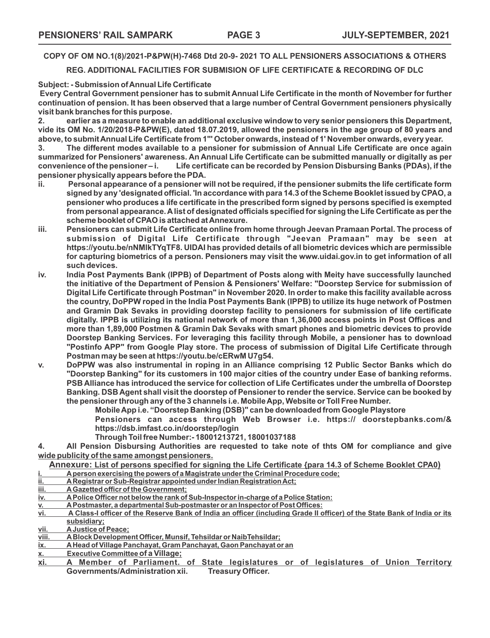**COPY OF OM NO.1(8)/2021-P&PW(H)-7468 Dtd 20-9- 2021 TO ALL PENSIONERS ASSOCIATIONS & OTHERS** 

**REG. ADDITIONAL FACILITIES FOR SUBMISION OF LIFE CERTIFICATE & RECORDING OF DLC**

**Subject: - Submission of Annual Life Certificate**

 **Every Central Government pensioner has to submit Annual Life Certificate in the month of November for further continuation of pension. It has been observed that a large number of Central Government pensioners physically visit bank branches for this purpose.** 

**2. earlier as a measure to enable an additional exclusive window to very senior pensioners this Department, vide its OM No. 1/20/2018-P&PW(E), dated 18.07.2019, allowed the pensioners in the age group of 80 years and above, to submit Annual Life Certificate from 1"' October onwards, instead of 1' November onwards, every year.** 

**3. The different modes available to a pensioner for submission of Annual Life Certificate are once again summarized for Pensioners' awareness. An Annual Life Certificate can be submitted manually or digitally as per** Life certificate can be recorded by Pension Disbursing Banks (PDAs), if the **pensioner physically appears before the PDA.**

- **ii. Personal appearance of a pensioner will not be required, if the pensioner submits the life certificate form signed by any 'designated official. 'In accordance with para 14.3 of the Scheme Booklet issued by CPAO, a pensioner who produces a life certificate in the prescribed form signed by persons specified is exempted from personal appearance. A list of designated officials specified for signing the Life Certificate as per the scheme booklet of CPAO is attached at Annexure.**
- **iii. Pensioners can submit Life Certificate online from home through Jeevan Pramaan Portal. The process of submission of Digital Life Certificate through "Jeevan Pramaan" may be seen at https://youtu.be/nNMlkTYqTF8. UIDAI has provided details of all biometric devices which are permissible for capturing biometrics of a person. Pensioners may visit the www.uidai.gov.in to get information of all such devices.**
- **iv. India Post Payments Bank (IPPB) of Department of Posts along with Meity have successfully launched the initiative of the Department of Pension & Pensioners' Welfare: "Doorstep Service for submission of Digital Life Certificate through Postman" in November 2020. In order to make this facility available across the country, DoPPW roped in the India Post Payments Bank (IPPB) to utilize its huge network of Postmen and Gramin Dak Sevaks in providing doorstep facility to pensioners for submission of life certificate digitally. IPPB is utilizing its national network of more than 1,36,000 access points in Post Offices and more than 1,89,000 Postmen & Gramin Dak Sevaks with smart phones and biometric devices to provide Doorstep Banking Services. For leveraging this facility through Mobile, a pensioner has to download "Postinfo APP" from Google Play store. The process of submission of Digital Life Certificate through Postman may be seen at https://youtu.be/cERwM U7g54.**
- **v. DoPPW was also instrumental in roping in an Alliance comprising 12 Public Sector Banks which do "Doorstep Banking" for its customers in 100 major cities of the country under Ease of banking reforms. PSB Alliance has introduced the service for collection of Life Certificates under the umbrella of Doorstep Banking. DSB Agent shall visit the doorstep of Pensioner to render the service. Service can be booked by the pensioner through any of the 3 channels i.e. Mobile App, Website or Toll Free Number.**

**Mobile App i.e. "Doorstep Banking (DSB)" can be downloaded from Google Playstore** 

**Pensioners can access through Web Browser i.e. https:// doorstepbanks.com/& https://dsb.imfast.co.in/doorstep/login** 

**Through Toil free Number:- 18001213721, 18001037188** 

**4. All Pension Disbursing Authorities are requested to take note of thts OM for compliance and give wide publicity of the same amongst pensioners.** 

**Annexure: List of persons specified for signing the Life Certificate {para 14.3 of Scheme Booklet CPA0)**

**i. A person exercising the powers of a Magistrate under the Criminal Procedure code;** 

- **ii. A Registrar or Sub-Registrar appointed under Indian Registration Act;**
- iii. A Gazetted officr of the Government;<br>iv. A Police Officer not below the rank of
- **iv. A Police Officer not below the rank of Sub-Inspector in-charge of a Police Station:**
- **v. A Postmaster, a departmental Sub-postmaster or an Inspector of Post Offices:**
- **vi. A Class-I officer of the Reserve Bank of India an officer (including Grade II officer) of the State Bank of India or its subsidiary;**
- **vii. A Justice of Peace;**
- **viii. A Block Development Officer, Munsif, Tehsildar or NaibTehsildar;**
- **ix. A Head of Village Panchayat, Gram Panchayat, Gaon Panchayat or an**
- **x. Executive Committee of a Village;**
- **xi. A Member of Parliament. of State legislatures or of legislatures of Union Territory Governments/Administration xii.**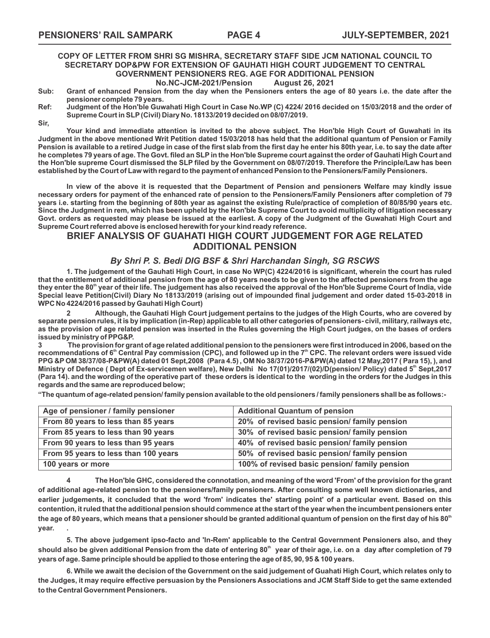### **COPY OF LETTER FROM SHRI SG MISHRA, SECRETARY STAFF SIDE JCM NATIONAL COUNCIL TO SECRETARY DOP&PW FOR EXTENSION OF GAUHATI HIGH COURT JUDGEMENT TO CENTRAL GOVERNMENT PENSIONERS REG. AGE FOR ADDITIONAL PENSION**

**No.NC-JCM-2021/Pension** 

- **Sub: Grant of enhanced Pension from the day when the Pensioners enters the age of 80 years i.e. the date after the pensioner complete 79 years.**
- **Ref: Judgment of the Hon'ble Guwahati High Court in Case No.WP (C) 4224/ 2016 decided on 15/03/2018 and the order of Supreme Court in SLP (Civil) Diary No. 18133/2019 decided on 08/07/2019.**
- **Sir,**

**Your kind and immediate attention is invited to the above subject. The Hon'ble High Court of Guwahati in its Judgment in the above mentioned Writ Petition dated 15/03/2018 has held that the additional quantum of Pension or Family Pension is available to a retired Judge in case of the first slab from the first day he enter his 80th year, i.e. to say the date after he completes 79 years of age. The Govt. filed an SLP in the Hon'ble Supreme court against the order of Gauhati High Court and the Hon'ble supreme Court dismissed the SLP filed by the Government on 08/07/2019. Therefore the Principle/Law has been established by the Court of Law with regard to the payment of enhanced Pension to the Pensioners/Family Pensioners.** 

**In view of the above it is requested that the Department of Pension and pensioners Welfare may kindly issue necessary orders for payment of the enhanced rate of pension to the Pensioners/Family Pensioners after completion of 79 years i.e. starting from the beginning of 80th year as against the existing Rule/practice of completion of 80/85/90 years etc. Since the Judgment in rem, which has been upheld by the Hon'ble Supreme Court to avoid multiplicity of litigation necessary Govt. orders as requested may please be issued at the earliest. A copy of the Judgment of the Guwahati High Court and Supreme Court referred above is enclosed herewith for your kind ready reference.** 

#### **BRIEF ANALYSIS OF GUAHATI HIGH COURT JUDGEMENT FOR AGE RELATED ADDITIONAL PENSION**

#### *By Shri P. S. Bedi DIG BSF & Shri Harchandan Singh, SG RSCWS*

**1. The judgement of the Gauhati High Court, in case No WP(C) 4224/2016 is significant, wherein the court has ruled that the entitlement of additional pension from the age of 80 years needs to be given to the affected pensioners from the age**  they enter the 80<sup>th</sup> year of their life. The judgement has also received the approval of the Hon'ble Supreme Court of India, vide **Special leave Petition(Civil) Diary No 18133/2019 (arising out of impounded final judgement and order dated 15-03-2018 in WPC No 4224/2016 passed by Gauhati High Court)**

**2 Although, the Gauhati High Court judgement pertains to the judges of the High Courts, who are covered by separate pension rules, it is by implication (in-Rep) applicable to all other categories of pensioners- civil, military, railways etc, as the provision of age related pension was inserted in the Rules governing the High Court judges, on the bases of orders issued by ministry of PPG&P.**

**3 The provision for grant of age related additional pension to the pensioners were first introduced in 2006, based on the**  recommendations of 6<sup>th</sup> Central Pay commission (CPC), and followed up in the 7<sup>th</sup> CPC. The relevant orders were issued vide **PPG &P OM 38/37/08-P&PW(A) dated 01 Sept,2008 (Para 4.5) , OM No 38/37/2016-P&PW(A) dated 12 May,2017 ( Para 15), ), and Ministry of Defence ( Dept of Ex-servicemen welfare), New Delhi No 17(01)/2017/(02)/D(pension/ Policy) dated 5<sup>th</sup> Sept,2017 (Para 14). and the wording of the operative part of these orders is identical to the wording in the orders for the Judges in this regards and the same are reproduced below;**

**"The quantum of age-related pension/ family pension available to the old pensioners / family pensioners shall be as follows:-**

| Age of pensioner / family pensioner  | <b>Additional Quantum of pension</b>          |
|--------------------------------------|-----------------------------------------------|
| From 80 years to less than 85 years  | 20% of revised basic pension/ family pension  |
| From 85 years to less than 90 years  | 30% of revised basic pension/ family pension  |
| From 90 years to less than 95 years  | 40% of revised basic pension/ family pension  |
| From 95 years to less than 100 years | 50% of revised basic pension/ family pension  |
| 100 years or more                    | 100% of revised basic pension/ family pension |

**4 The Hon'ble GHC, considered the connotation, and meaning of the word 'From' of the provision for the grant of additional age-related pension to the pensioners/family pensioners. After consulting some well known dictionaries, and earlier judgements, it concluded that the word 'from' indicates the' starting point' of a particular event. Based on this contention, it ruled that the additional pension should commence at the start of the year when the incumbent pensioners enter**  the age of 80 years, which means that a pensioner should be granted additional quantum of pension on the first day of his 80<sup>th</sup> **year. .**

**5. The above judgement ipso-facto and 'In-Rem' applicable to the Central Government Pensioners also, and they**  should also be given additional Pension from the date of entering 80<sup>th</sup> year of their age, i.e. on a day after completion of 79 **years of age. Same principle should be applied to those entering the age of 85, 90, 95 & 100 years.**

**6. While we await the decision of the Government on the said judgement of Guahati High Court, which relates only to the Judges, it may require effective persuasion by the Pensioners Associations and JCM Staff Side to get the same extended to the Central Government Pensioners.**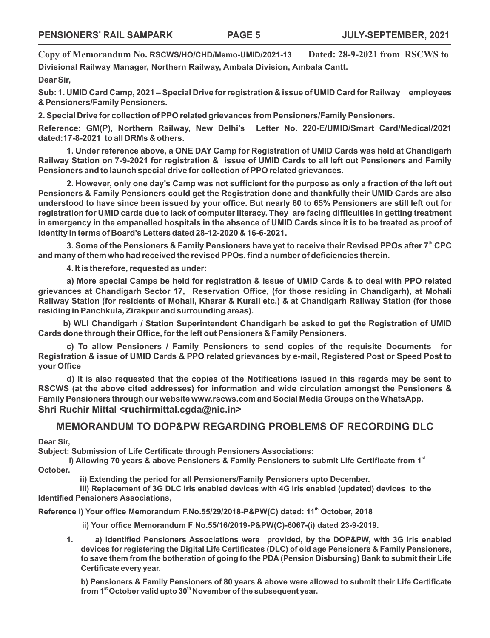**Copy of Memorandum No. RSCWS/HO/CHD/Memo-UMID/2021-13 Dated: 28-9-2021 from RSCWS to Divisional Railway Manager, Northern Railway, Ambala Division, Ambala Cantt. Dear Sir,**

**Sub: 1. UMID Card Camp, 2021 – Special Drive for registration & issue of UMID Card for Railway employees & Pensioners/Family Pensioners.**

**2. Special Drive for collection of PPO related grievances from Pensioners/Family Pensioners.**

**Reference: GM(P), Northern Railway, New Delhi's Letter No. 220-E/UMID/Smart Card/Medical/2021 dated:17-8-2021 to all DRMs & others.**

**1. Under reference above, a ONE DAY Camp for Registration of UMID Cards was held at Chandigarh Railway Station on 7-9-2021 for registration & issue of UMID Cards to all left out Pensioners and Family Pensioners and to launch special drive for collection of PPO related grievances.**

**2. However, only one day's Camp was not sufficient for the purpose as only a fraction of the left out Pensioners & Family Pensioners could get the Registration done and thankfully their UMID Cards are also understood to have since been issued by your office. But nearly 60 to 65% Pensioners are still left out for registration for UMID cards due to lack of computer literacy. They are facing difficulties in getting treatment in emergency in the empanelled hospitals in the absence of UMID Cards since it is to be treated as proof of identity in terms of Board's Letters dated 28-12-2020 & 16-6-2021.** 

3. Some of the Pensioners & Family Pensioners have yet to receive their Revised PPOs after 7<sup>th</sup> CPC **and many of them who had received the revised PPOs, find a number of deficiencies therein.**

**4. It is therefore, requested as under:**

**a) More special Camps be held for registration & issue of UMID Cards & to deal with PPO related grievances at Chandigarh Sector 17, Reservation Office, (for those residing in Chandigarh), at Mohali Railway Station (for residents of Mohali, Kharar & Kurali etc.) & at Chandigarh Railway Station (for those residing in Panchkula, Zirakpur and surrounding areas).**

**b) WLI Chandigarh / Station Superintendent Chandigarh be asked to get the Registration of UMID Cards done through their Office, for the left out Pensioners & Family Pensioners.**

**c) To allow Pensioners / Family Pensioners to send copies of the requisite Documents for Registration & issue of UMID Cards & PPO related grievances by e-mail, Registered Post or Speed Post to your Office** 

**d) It is also requested that the copies of the Notifications issued in this regards may be sent to RSCWS (at the above cited addresses) for information and wide circulation amongst the Pensioners & Family Pensioners through our website www.rscws.com and Social Media Groups on the WhatsApp. Shri Ruchir Mittal <ruchirmittal.cgda@nic.in>**

### **MEMORANDUM TO DOP&PW REGARDING PROBLEMS OF RECORDING DLC**

**Dear Sir,**

**Subject: Submission of Life Certificate through Pensioners Associations:** 

i) Allowing 70 years & above Pensioners & Family Pensioners to submit Life Certificate from 1<sup>st</sup> **October.**

 **ii) Extending the period for all Pensioners/Family Pensioners upto December.**

 **iii) Replacement of 3G DLC Iris enabled devices with 4G Iris enabled (updated) devices to the Identified Pensioners Associations,**

Reference i) Your office Memorandum F.No.55/29/2018-P&PW(C) dated: 11<sup>th</sup> October, 2018

 **ii) Your office Memorandum F No.55/16/2019-P&PW(C)-6067-(i) dated 23-9-2019.**

**1. a) Identified Pensioners Associations were provided, by the DOP&PW, with 3G Iris enabled devices for registering the Digital Life Certificates (DLC) of old age Pensioners & Family Pensioners, to save them from the botheration of going to the PDA (Pension Disbursing) Bank to submit their Life Certificate every year.**

**b) Pensioners & Family Pensioners of 80 years & above were allowed to submit their Life Certificate**  from 1<sup>st</sup> October valid upto 30<sup>th</sup> November of the subsequent year.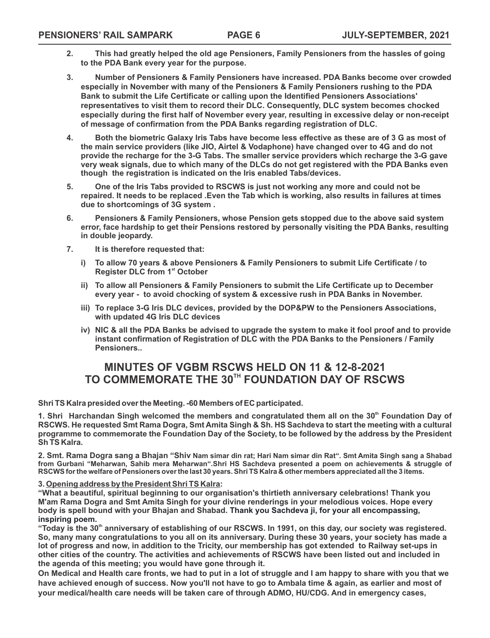- **2. This had greatly helped the old age Pensioners, Family Pensioners from the hassles of going to the PDA Bank every year for the purpose.**
- **3. Number of Pensioners & Family Pensioners have increased. PDA Banks become over crowded especially in November with many of the Pensioners & Family Pensioners rushing to the PDA Bank to submit the Life Certificate or calling upon the Identified Pensioners Associations' representatives to visit them to record their DLC. Consequently, DLC system becomes chocked especially during the first half of November every year, resulting in excessive delay or non-receipt of message of confirmation from the PDA Banks regarding registration of DLC.**
- **4. Both the biometric Galaxy Iris Tabs have become less effective as these are of 3 G as most of the main service providers (like JIO, Airtel & Vodaphone) have changed over to 4G and do not provide the recharge for the 3-G Tabs. The smaller service providers which recharge the 3-G gave very weak signals, due to which many of the DLCs do not get registered with the PDA Banks even though the registration is indicated on the Iris enabled Tabs/devices.**
- **5. One of the Iris Tabs provided to RSCWS is just not working any more and could not be repaired. It needs to be replaced .Even the Tab which is working, also results in failures at times due to shortcomings of 3G system .**
- **6. Pensioners & Family Pensioners, whose Pension gets stopped due to the above said system error, face hardship to get their Pensions restored by personally visiting the PDA Banks, resulting in double jeopardy.**
- **7. It is therefore requested that:**
	- **i) To allow 70 years & above Pensioners & Family Pensioners to submit Life Certificate / to Register DLC from 1<sup>st</sup> October**
	- **ii) To allow all Pensioners & Family Pensioners to submit the Life Certificate up to December every year - to avoid chocking of system & excessive rush in PDA Banks in November.**
	- **iii) To replace 3-G Iris DLC devices, provided by the DOP&PW to the Pensioners Associations, with updated 4G Iris DLC devices**
	- **iv) NIC & all the PDA Banks be advised to upgrade the system to make it fool proof and to provide instant confirmation of Registration of DLC with the PDA Banks to the Pensioners / Family Pensioners..**

## **MINUTES OF VGBM RSCWS HELD ON 11 & 12-8-2021** TO COMMEMORATE THE 30<sup>TH</sup> FOUNDATION DAY OF RSCWS

**Shri TS Kalra presided over the Meeting. -60 Members of EC participated.**

1. Shri Harchandan Singh welcomed the members and congratulated them all on the 30<sup>th</sup> Foundation Day of **RSCWS. He requested Smt Rama Dogra, Smt Amita Singh & Sh. HS Sachdeva to start the meeting with a cultural programme to commemorate the Foundation Day of the Society, to be followed by the address by the President Sh TS Kalra.**

**2. Smt. Rama Dogra sang a Bhajan "Shiv Nam simar din rat; Hari Nam simar din Rat". Smt Amita Singh sang a Shabad from Gurbani "Meharwan, Sahib mera Meharwan".Shri HS Sachdeva presented a poem on achievements & struggle of RSCWS for the welfare of Pensioners over the last 30 years. Shri TS Kalra & other members appreciated all the 3 items.**

#### **3. Opening address by the President Shri TS Kalra:**

**"What a beautiful, spiritual beginning to our organisation's thirtieth anniversary celebrations! Thank you M'am Rama Dogra and Smt Amita Singh for your divine renderings in your melodious voices. Hope every body is spell bound with your Bhajan and Shabad. Thank you Sachdeva ji, for your all encompassing, inspiring poem.**

**th "Today is the 30 anniversary of establishing of our RSCWS. In 1991, on this day, our society was registered. So, many many congratulations to you all on its anniversary. During these 30 years, your society has made a lot of progress and now, in addition to the Tricity, our membership has got extended to Railway set-ups in other cities of the country. The activities and achievements of RSCWS have been listed out and included in the agenda of this meeting; you would have gone through it.** 

**On Medical and Health care fronts, we had to put in a lot of struggle and I am happy to share with you that we have achieved enough of success. Now you'll not have to go to Ambala time & again, as earlier and most of your medical/health care needs will be taken care of through ADMO, HU/CDG. And in emergency cases,**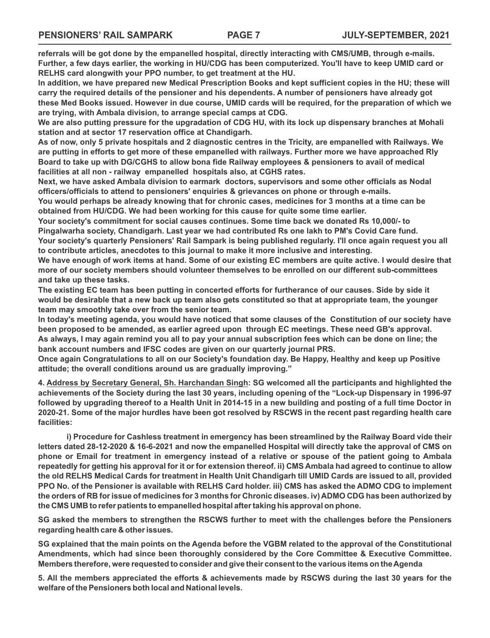**referrals will be got done by the empanelled hospital, directly interacting with CMS/UMB, through e-mails. Further, a few days earlier, the working in HU/CDG has been computerized. You'll have to keep UMID card or RELHS card alongwith your PPO number, to get treatment at the HU.**

**In addition, we have prepared new Medical Prescription Books and kept sufficient copies in the HU; these will carry the required details of the pensioner and his dependents. A number of pensioners have already got these Med Books issued. However in due course, UMID cards will be required, for the preparation of which we are trying, with Ambala division, to arrange special camps at CDG.** 

**We are also putting pressure for the upgradation of CDG HU, with its lock up dispensary branches at Mohali station and at sector 17 reservation office at Chandigarh.**

**As of now, only 5 private hospitals and 2 diagnostic centres in the Tricity, are empanelled with Railways. We are putting in efforts to get more of these empanelled with railways. Further more we have approached Rly Board to take up with DG/CGHS to allow bona fide Railway employees & pensioners to avail of medical facilities at all non - railway empanelled hospitals also, at CGHS rates.**

**Next, we have asked Ambala division to earmark doctors, supervisors and some other officials as Nodal officers/officials to attend to pensioners' enquiries & grievances on phone or through e-mails.**

**You would perhaps be already knowing that for chronic cases, medicines for 3 months at a time can be obtained from HU/CDG. We had been working for this cause for quite some time earlier.**

**Your society's commitment for social causes continues. Some time back we donated Rs 10,000/- to Pingalwarha society, Chandigarh. Last year we had contributed Rs one lakh to PM's Covid Care fund.**

**Your society's quarterly Pensioners' Rail Sampark is being published regularly. I'll once again request you all to contribute articles, anecdotes to this journal to make it more inclusive and interesting.**

**We have enough of work items at hand. Some of our existing EC members are quite active. I would desire that more of our society members should volunteer themselves to be enrolled on our different sub-committees and take up these tasks.**

**The existing EC team has been putting in concerted efforts for furtherance of our causes. Side by side it would be desirable that a new back up team also gets constituted so that at appropriate team, the younger team may smoothly take over from the senior team.**

**In today's meeting agenda, you would have noticed that some clauses of the Constitution of our society have been proposed to be amended, as earlier agreed upon through EC meetings. These need GB's approval. As always, I may again remind you all to pay your annual subscription fees which can be done on line; the bank account numbers and IFSC codes are given on our quarterly journal PRS.**

**Once again Congratulations to all on our Society's foundation day. Be Happy, Healthy and keep up Positive attitude; the overall conditions around us are gradually improving."**

**4. Address by Secretary General, Sh. Harchandan Singh: SG welcomed all the participants and highlighted the achievements of the Society during the last 30 years, including opening of the "Lock-up Dispensary in 1996-97 followed by upgrading thereof to a Health Unit in 2014-15 in a new building and posting of a full time Doctor in 2020-21. Some of the major hurdles have been got resolved by RSCWS in the recent past regarding health care facilities:**

**i) Procedure for Cashless treatment in emergency has been streamlined by the Railway Board vide their letters dated 28-12-2020 & 16-6-2021 and now the empanelled Hospital will directly take the approval of CMS on phone or Email for treatment in emergency instead of a relative or spouse of the patient going to Ambala repeatedly for getting his approval for it or for extension thereof. ii) CMS Ambala had agreed to continue to allow the old RELHS Medical Cards for treatment in Health Unit Chandigarh till UMID Cards are issued to all, provided PPO No. of the Pensioner is available with RELHS Card holder. iii) CMS has asked the ADMO CDG to implement the orders of RB for issue of medicines for 3 months for Chronic diseases. iv) ADMO CDG has been authorized by the CMS UMB to refer patients to empanelled hospital after taking his approval on phone.**

**SG asked the members to strengthen the RSCWS further to meet with the challenges before the Pensioners regarding health care & other issues.** 

**SG explained that the main points on the Agenda before the VGBM related to the approval of the Constitutional Amendments, which had since been thoroughly considered by the Core Committee & Executive Committee. Members therefore, were requested to consider and give their consent to the various items on the Agenda** 

**5. All the members appreciated the efforts & achievements made by RSCWS during the last 30 years for the welfare of the Pensioners both local and National levels.**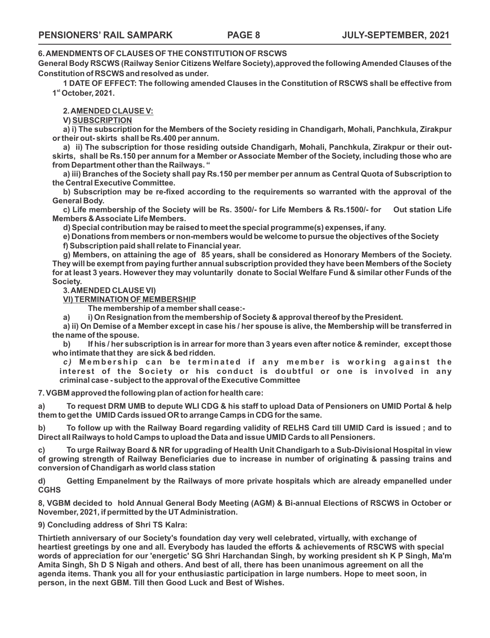#### **6. AMENDMENTS OF CLAUSES OF THE CONSTITUTION OF RSCWS**

**General Body RSCWS (Railway Senior Citizens Welfare Society),approved the following Amended Clauses of the Constitution of RSCWS and resolved as under.** 

**1 DATE OF EFFECT: The following amended Clauses in the Constitution of RSCWS shall be effective from st 1 October, 2021.**

**2. AMENDED CLAUSE V:** 

**V) SUBSCRIPTION**

**a) i) The subscription for the Members of the Society residing in Chandigarh, Mohali, Panchkula, Zirakpur or their out- skirts shall be Rs.400 per annum.**

**a) ii) The subscription for those residing outside Chandigarh, Mohali, Panchkula, Zirakpur or their outskirts, shall be Rs.150 per annum for a Member or Associate Member of the Society, including those who are from Department other than the Railways. "**

**a) iii) Branches of the Society shall pay Rs.150 per member per annum as Central Quota of Subscription to the Central Executive Committee.**

**b) Subscription may be re-fixed according to the requirements so warranted with the approval of the General Body.** 

**c) Life membership of the Society will be Rs. 3500/- for Life Members & Rs.1500/- for Out station Life Members & Associate Life Members.**

**d) Special contribution may be raised to meet the special programme(s) expenses, if any.** 

**e) Donations from members or non-members would be welcome to pursue the objectives of the Society**

**f) Subscription paid shall relate to Financial year.**

**g) Members, on attaining the age of 85 years, shall be considered as Honorary Members of the Society. They will be exempt from paying further annual subscription provided they have been Members of the Society for at least 3 years. However they may voluntarily donate to Social Welfare Fund & similar other Funds of the Society.**

**3. AMENDED CLAUSE VI)** 

**VI) TERMINATION OF MEMBERSHIP**

**The membership of a member shall cease:-** 

**a) i) On Resignation from the membership of Society & approval thereof by the President.**

**a) ii) On Demise of a Member except in case his / her spouse is alive, the Membership will be transferred in the name of the spouse.**

**b) If his / her subscription is in arrear for more than 3 years even after notice & reminder, except those who intimate that they are sick & bed ridden.** 

*c*) Membership can be terminated if any member is working against the **interest of the Society or his conduct is doubtful or one is involved in any criminal case - subject to the approval of the Executive Committee**

**7. VGBM approved the following plan of action for health care:**

**a) To request DRM UMB to depute WLI CDG & his staff to upload Data of Pensioners on UMID Portal & help them to get the UMID Cards issued OR to arrange Camps in CDG for the same.**

**b) To follow up with the Railway Board regarding validity of RELHS Card till UMID Card is issued ; and to Direct all Railways to hold Camps to upload the Data and issue UMID Cards to all Pensioners.**

**c) To urge Railway Board & NR for upgrading of Health Unit Chandigarh to a Sub-Divisional Hospital in view of growing strength of Railway Beneficiaries due to increase in number of originating & passing trains and conversion of Chandigarh as world class station**

**d) Getting Empanelment by the Railways of more private hospitals which are already empanelled under CGHS**

**8, VGBM decided to hold Annual General Body Meeting (AGM) & Bi-annual Elections of RSCWS in October or November, 2021, if permitted by the UT Administration.**

**9) Concluding address of Shri TS Kalra:** 

**Thirtieth anniversary of our Society's foundation day very well celebrated, virtually, with exchange of heartiest greetings by one and all. Everybody has lauded the efforts & achievements of RSCWS with special words of appreciation for our 'energetic' SG Shri Harchandan Singh, by working president sh K P Singh, Ma'm Amita Singh, Sh D S Nigah and others. And best of all, there has been unanimous agreement on all the agenda items. Thank you all for your enthusiastic participation in large numbers. Hope to meet soon, in person, in the next GBM. Till then Good Luck and Best of Wishes.**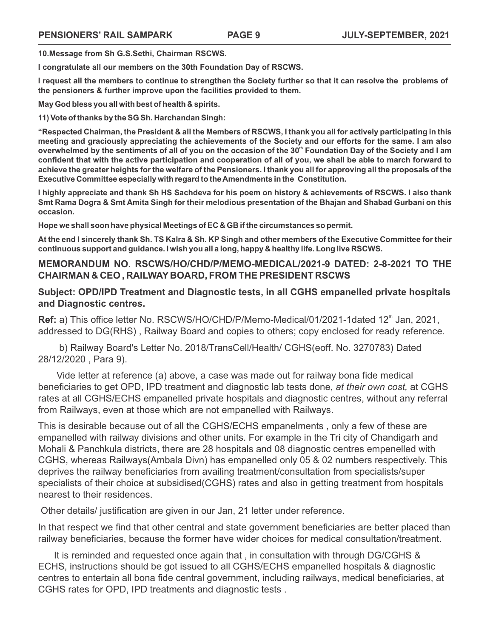**10.Message from Sh G.S.Sethi, Chairman RSCWS.**

**I congratulate all our members on the 30th Foundation Day of RSCWS.**

**I request all the members to continue to strengthen the Society further so that it can resolve the problems of the pensioners & further improve upon the facilities provided to them.**

**May God bless you all with best of health & spirits.**

**11) Vote of thanks by the SG Sh. Harchandan Singh:** 

**"Respected Chairman, the President & all the Members of RSCWS, I thank you all for actively participating in this meeting and graciously appreciating the achievements of the Society and our efforts for the same. I am also**  overwhelmed by the sentiments of all of you on the occasion of the 30<sup>th</sup> Foundation Day of the Society and I am **confident that with the active participation and cooperation of all of you, we shall be able to march forward to achieve the greater heights for the welfare of the Pensioners. I thank you all for approving all the proposals of the Executive Committee especially with regard to the Amendments in the Constitution.** 

**I highly appreciate and thank Sh HS Sachdeva for his poem on history & achievements of RSCWS. I also thank Smt Rama Dogra & Smt Amita Singh for their melodious presentation of the Bhajan and Shabad Gurbani on this occasion.**

**Hope we shall soon have physical Meetings of EC & GB if the circumstances so permit.**

**At the end I sincerely thank Sh. TS Kalra & Sh. KP Singh and other members of the Executive Committee for their continuous support and guidance. I wish you all a long, happy & healthy life. Long live RSCWS.** 

#### **MEMORANDUM NO. RSCWS/HO/CHD/P/MEMO-MEDICAL/2021-9 DATED: 2-8-2021 TO THE CHAIRMAN & CEO , RAILWAY BOARD, FROM THE PRESIDENT RSCWS**

#### **Subject: OPD/IPD Treatment and Diagnostic tests, in all CGHS empanelled private hospitals and Diagnostic centres.**

Ref: a) This office letter No. RSCWS/HO/CHD/P/Memo-Medical/01/2021-1dated 12<sup>th</sup> Jan, 2021, addressed to DG(RHS) , Railway Board and copies to others; copy enclosed for ready reference.

 b) Railway Board's Letter No. 2018/TransCell/Health/ CGHS(eoff. No. 3270783) Dated 28/12/2020 , Para 9).

 Vide letter at reference (a) above, a case was made out for railway bona fide medical beneficiaries to get OPD, IPD treatment and diagnostic lab tests done, *at their own cost,* at CGHS rates at all CGHS/ECHS empanelled private hospitals and diagnostic centres, without any referral from Railways, even at those which are not empanelled with Railways.

This is desirable because out of all the CGHS/ECHS empanelments , only a few of these are empanelled with railway divisions and other units. For example in the Tri city of Chandigarh and Mohali & Panchkula districts, there are 28 hospitals and 08 diagnostic centres empenelled with CGHS, whereas Railways(Ambala Divn) has empanelled only 05 & 02 numbers respectively. This deprives the railway beneficiaries from availing treatment/consultation from specialists/super specialists of their choice at subsidised(CGHS) rates and also in getting treatment from hospitals nearest to their residences.

Other details/ justification are given in our Jan, 21 letter under reference.

In that respect we find that other central and state government beneficiaries are better placed than railway beneficiaries, because the former have wider choices for medical consultation/treatment.

 It is reminded and requested once again that , in consultation with through DG/CGHS & ECHS, instructions should be got issued to all CGHS/ECHS empanelled hospitals & diagnostic centres to entertain all bona fide central government, including railways, medical beneficiaries, at CGHS rates for OPD, IPD treatments and diagnostic tests .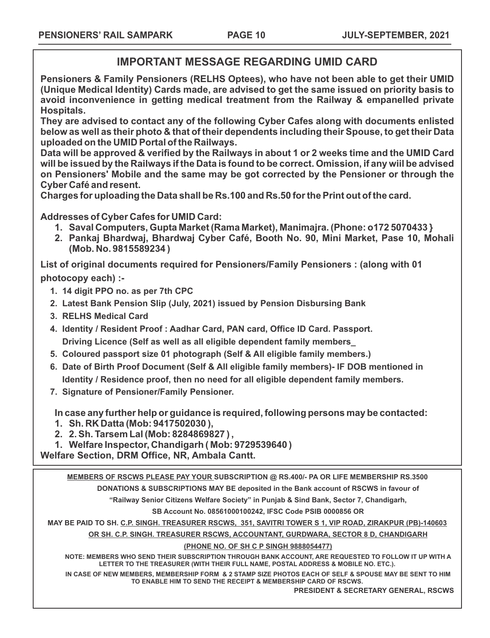## **IMPORTANT MESSAGE REGARDING UMID CARD**

**Pensioners & Family Pensioners (RELHS Optees), who have not been able to get their UMID (Unique Medical Identity) Cards made, are advised to get the same issued on priority basis to avoid inconvenience in getting medical treatment from the Railway & empanelled private Hospitals.**

**They are advised to contact any of the following Cyber Cafes along with documents enlisted below as well as their photo & that of their dependents including their Spouse, to get their Data uploaded on the UMID Portal of the Railways.** 

**Data will be approved & verified by the Railways in about 1 or 2 weeks time and the UMID Card will be issued by the Railways if the Data is found to be correct. Omission, if any wiil be advised on Pensioners' Mobile and the same may be got corrected by the Pensioner or through the Cyber Café and resent.** 

**Charges for uploading the Data shall be Rs.100 and Rs.50 for the Print out of the card.** 

**Addresses of Cyber Cafes for UMID Card:**

- **1. Saval Computers, Gupta Market (Rama Market), Manimajra. (Phone: o172 5070433 }**
- **2. Pankaj Bhardwaj, Bhardwaj Cyber Café, Booth No. 90, Mini Market, Pase 10, Mohali (Mob. No. 9815589234 )**

**List of original documents required for Pensioners/Family Pensioners : (along with 01 photocopy each) :-**

- **1. 14 digit PPO no. as per 7th CPC**
- **2. Latest Bank Pension Slip (July, 2021) issued by Pension Disbursing Bank**
- **3. RELHS Medical Card**
- **4. Identity / Resident Proof : Aadhar Card, PAN card, Office ID Card. Passport. Driving Licence (Self as well as all eligible dependent family members\_**
- **5. Coloured passport size 01 photograph (Self & All eligible family members.)**
- **6. Date of Birth Proof Document (Self & All eligible family members)- IF DOB mentioned in Identity / Residence proof, then no need for all eligible dependent family members.**
- **7. Signature of Pensioner/Family Pensioner.**

**In case any further help or guidance is required, following persons may be contacted: 1. Sh. RK Datta (Mob: 9417502030 ),** 

**2. 2. Sh. Tarsem Lal (Mob: 8284869827 ) ,** 

**1. Welfare Inspector, Chandigarh ( Mob: 9729539640 )** 

**Welfare Section, DRM Office, NR, Ambala Cantt.**

**MEMBERS OF RSCWS PLEASE PAY YOUR SUBSCRIPTION @ RS.400/- PA OR LIFE MEMBERSHIP RS.3500 DONATIONS & SUBSCRIPTIONS MAY BE deposited in the Bank account of RSCWS in favour of**

**"Railway Senior Citizens Welfare Society" in Punjab & Sind Bank, Sector 7, Chandigarh,**

**SB Account No. 08561000100242, IFSC Code PSIB 0000856 OR**

**MAY BE PAID TO SH. C.P. SINGH. TREASURER RSCWS, 351, SAVITRI TOWER S 1, VIP ROAD, ZIRAKPUR (PB)-140603**

**OR SH. C.P. SINGH. TREASURER RSCWS, ACCOUNTANT, GURDWARA, SECTOR 8 D, CHANDIGARH**

#### **(PHONE NO. OF SH C P SINGH 9888054477)**

**NOTE: MEMBERS WHO SEND THEIR SUBSCRIPTION THROUGH BANK ACCOUNT, ARE REQUESTED TO FOLLOW IT UP WITH A LETTER TO THE TREASURER (WITH THEIR FULL NAME, POSTAL ADDRESS & MOBILE NO. ETC.).**

**IN CASE OF NEW MEMBERS, MEMBERSHIP FORM & 2 STAMP SIZE PHOTOS EACH OF SELF & SPOUSE MAY BE SENT TO HIM TO ENABLE HIM TO SEND THE RECEIPT & MEMBERSHIP CARD OF RSCWS.**

**PRESIDENT & SECRETARY GENERAL, RSCWS**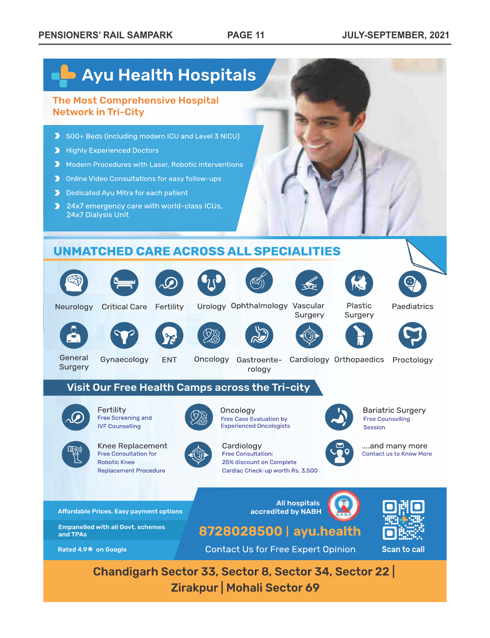# **Ayu Health Hospitals The Most Comprehensive Hospital Network in Tri-City** > 500+ Beds (including modern ICU and Level 3 NICU) Highly Experienced Doctors Modern Procedures with Laser, Robotic interventions > Online Video Consultations for easy follow-ups Dedicated Ayu Mitra for each patient > 24x7 emergency care with world-class ICUs, 24x7 Dialysis Unit

## **UNMATCHED CARE ACROSS ALL SPECIALITIES**

































Urology Ophthalmology Vascular

Plastic Surgery Paediatrics



Fertility

Free Screening and

**Free Consultation for** 

**IVF Counselling** 

**Robotic Knee** 



Visit Our Free Health Camps across the Tri-city



Surgery





General





Oncology

Cardiology

Free Consultation:

25% discount on Complete



Surgery







Oncology Gastroente- Cardiology Orthopaedics Proctology rology



**Bariatric Surgery Free Counselling** Session



....and many more Contact us to Know More

Affordable Prices, Easy payment options

accredited by NABH





**Scan to call** 

Chandigarh Sector 33, Sector 8, Sector 34, Sector 22 Zirakpur | Mohali Sector 69







Cardiac Check-up worth Rs. 3,500







**Contact Us for Free Expert Opinion** 

**Replacement Procedure** 



Free Case Evaluation by **Experienced Oncologists**